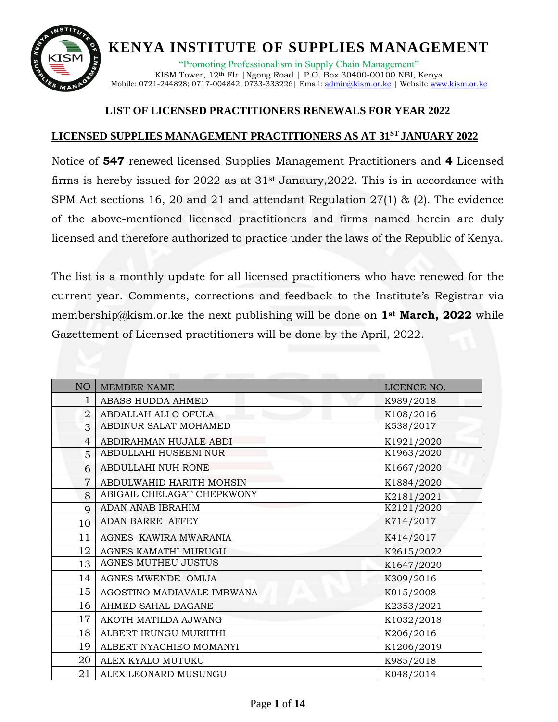

"Promoting Professionalism in Supply Chain Management" KISM Tower, 12<sup>th</sup> Flr | Ngong Road | P.O. Box 30400-00100 NBI, Kenya Mobile: 0721-244828; 0717-004842; 0733-333226| Email[: admin@kism.or.ke](mailto:admin@kism.or.ke) | Website [www.kism.or.ke](http://www.kism.or.ke/)

#### **LIST OF LICENSED PRACTITIONERS RENEWALS FOR YEAR 2022**

#### **LICENSED SUPPLIES MANAGEMENT PRACTITIONERS AS AT 31ST JANUARY 2022**

Notice of **547** renewed licensed Supplies Management Practitioners and **4** Licensed firms is hereby issued for  $2022$  as at  $31<sup>st</sup>$  Janaury,  $2022$ . This is in accordance with SPM Act sections 16, 20 and 21 and attendant Regulation 27(1) & (2). The evidence of the above-mentioned licensed practitioners and firms named herein are duly licensed and therefore authorized to practice under the laws of the Republic of Kenya.

The list is a monthly update for all licensed practitioners who have renewed for the current year. Comments, corrections and feedback to the Institute's Registrar via [membership@kism.or.ke](mailto:membership@kism.or.ke) the next publishing will be done on **1st March, 2022** while Gazettement of Licensed practitioners will be done by the April, 2022.

| NO             | <b>MEMBER NAME</b>         | LICENCE NO. |
|----------------|----------------------------|-------------|
| 1              | ABASS HUDDA AHMED          | K989/2018   |
| $\overline{2}$ | ABDALLAH ALI O OFULA       | K108/2016   |
| 3              | ABDINUR SALAT MOHAMED      | K538/2017   |
| $\overline{4}$ | ABDIRAHMAN HUJALE ABDI     | K1921/2020  |
| 5              | ABDULLAHI HUSEENI NUR      | K1963/2020  |
| 6              | ABDULLAHI NUH RONE         | K1667/2020  |
| $\overline{7}$ | ABDULWAHID HARITH MOHSIN   | K1884/2020  |
| 8              | ABIGAIL CHELAGAT CHEPKWONY | K2181/2021  |
| $\overline{Q}$ | ADAN ANAB IBRAHIM          | K2121/2020  |
| 10             | ADAN BARRE AFFEY           | K714/2017   |
| 11             | AGNES KAWIRA MWARANIA      | K414/2017   |
| 12             | AGNES KAMATHI MURUGU       | K2615/2022  |
| 13             | AGNES MUTHEU JUSTUS        | K1647/2020  |
| 14             | AGNES MWENDE OMIJA         | K309/2016   |
| 15             | AGOSTINO MADIAVALE IMBWANA | K015/2008   |
| 16             | AHMED SAHAL DAGANE         | K2353/2021  |
| 17             | AKOTH MATILDA AJWANG       | K1032/2018  |
| 18             | ALBERT IRUNGU MURIITHI     | K206/2016   |
| 19             | ALBERT NYACHIEO MOMANYI    | K1206/2019  |
| 20             | ALEX KYALO MUTUKU          | K985/2018   |
| 21             | ALEX LEONARD MUSUNGU       | K048/2014   |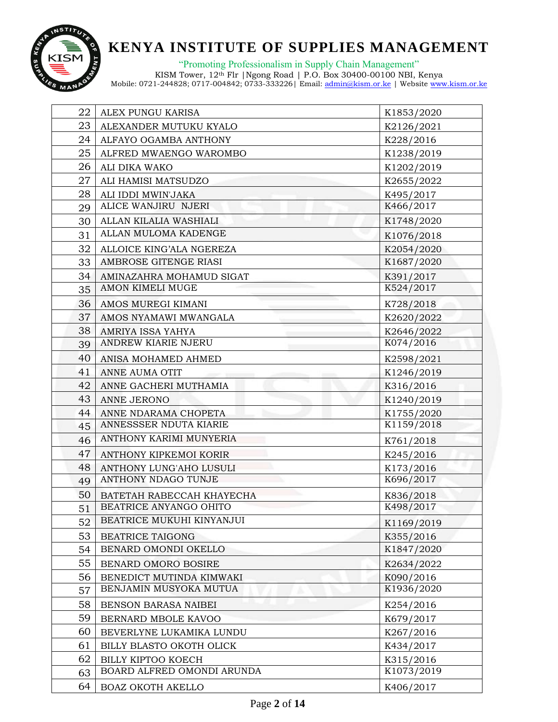

"Promoting Professionalism in Supply Chain Management"

| 22 | ALEX PUNGU KARISA          | K1853/2020 |
|----|----------------------------|------------|
| 23 | ALEXANDER MUTUKU KYALO     | K2126/2021 |
| 24 | ALFAYO OGAMBA ANTHONY      | K228/2016  |
| 25 | ALFRED MWAENGO WAROMBO     | K1238/2019 |
| 26 | ALI DIKA WAKO              | K1202/2019 |
| 27 | ALI HAMISI MATSUDZO        | K2655/2022 |
| 28 | ALI IDDI MWIN'JAKA         | K495/2017  |
| 29 | ALICE WANJIRU NJERI        | K466/2017  |
| 30 | ALLAN KILALIA WASHIALI     | K1748/2020 |
| 31 | ALLAN MULOMA KADENGE       | K1076/2018 |
| 32 | ALLOICE KING'ALA NGEREZA   | K2054/2020 |
| 33 | AMBROSE GITENGE RIASI      | K1687/2020 |
| 34 | AMINAZAHRA MOHAMUD SIGAT   | K391/2017  |
| 35 | AMON KIMELI MUGE           | K524/2017  |
| 36 | AMOS MUREGI KIMANI         | K728/2018  |
| 37 | AMOS NYAMAWI MWANGALA      | K2620/2022 |
| 38 | AMRIYA ISSA YAHYA          | K2646/2022 |
| 39 | ANDREW KIARIE NJERU        | K074/2016  |
| 40 | ANISA MOHAMED AHMED        | K2598/2021 |
| 41 | ANNE AUMA OTIT             | K1246/2019 |
| 42 | ANNE GACHERI MUTHAMIA      | K316/2016  |
| 43 | ANNE JERONO                | K1240/2019 |
| 44 | ANNE NDARAMA CHOPETA       | K1755/2020 |
| 45 | ANNESSSER NDUTA KIARIE     | K1159/2018 |
| 46 | ANTHONY KARIMI MUNYERIA    | K761/2018  |
| 47 | ANTHONY KIPKEMOI KORIR     | K245/2016  |
| 48 | ANTHONY LUNG'AHO LUSULI    | K173/2016  |
| 49 | ANTHONY NDAGO TUNJE        | K696/2017  |
| 50 | BATETAH RABECCAH KHAYECHA  | K836/2018  |
| 51 | BEATRICE ANYANGO OHITO     | K498/2017  |
| 52 | BEATRICE MUKUHI KINYANJUI  | K1169/2019 |
| 53 | <b>BEATRICE TAIGONG</b>    | K355/2016  |
| 54 | BENARD OMONDI OKELLO       | K1847/2020 |
| 55 | BENARD OMORO BOSIRE        | K2634/2022 |
| 56 | BENEDICT MUTINDA KIMWAKI   | K090/2016  |
| 57 | BENJAMIN MUSYOKA MUTUA     | K1936/2020 |
| 58 | BENSON BARASA NAIBEI       | K254/2016  |
| 59 | BERNARD MBOLE KAVOO        | K679/2017  |
| 60 | BEVERLYNE LUKAMIKA LUNDU   | K267/2016  |
| 61 | BILLY BLASTO OKOTH OLICK   | K434/2017  |
| 62 | BILLY KIPTOO KOECH         | K315/2016  |
| 63 | BOARD ALFRED OMONDI ARUNDA | K1073/2019 |
| 64 | BOAZ OKOTH AKELLO          | K406/2017  |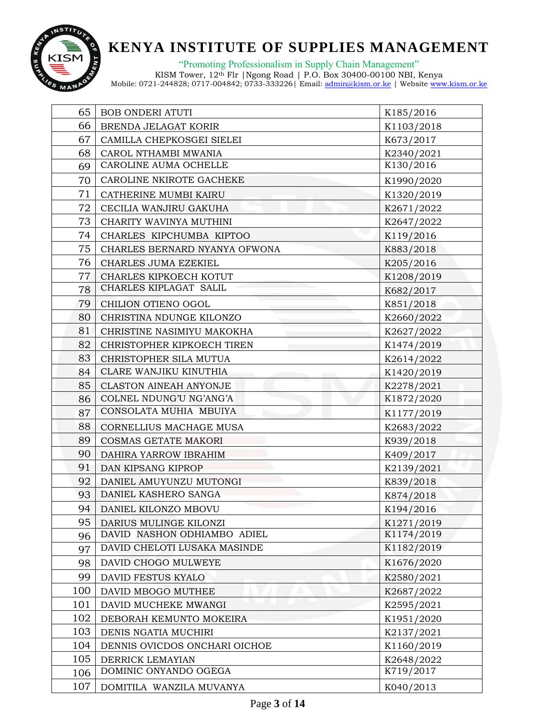

"Promoting Professionalism in Supply Chain Management"

| 65  | <b>BOB ONDERI ATUTI</b>       | K185/2016  |
|-----|-------------------------------|------------|
| 66  | BRENDA JELAGAT KORIR          | K1103/2018 |
| 67  | CAMILLA CHEPKOSGEI SIELEI     | K673/2017  |
| 68  | CAROL NTHAMBI MWANIA          | K2340/2021 |
| 69  | CAROLINE AUMA OCHELLE         | K130/2016  |
| 70  | CAROLINE NKIROTE GACHEKE      | K1990/2020 |
| 71  | CATHERINE MUMBI KAIRU         | K1320/2019 |
| 72  | CECILIA WANJIRU GAKUHA        | K2671/2022 |
| 73  | CHARITY WAVINYA MUTHINI       | K2647/2022 |
| 74  | CHARLES KIPCHUMBA KIPTOO      | K119/2016  |
| 75  | CHARLES BERNARD NYANYA OFWONA | K883/2018  |
| 76  | CHARLES JUMA EZEKIEL          | K205/2016  |
| 77  | CHARLES KIPKOECH KOTUT        | K1208/2019 |
| 78  | CHARLES KIPLAGAT SALIL        | K682/2017  |
| 79  | CHILION OTIENO OGOL           | K851/2018  |
| 80  | CHRISTINA NDUNGE KILONZO      | K2660/2022 |
| 81  | CHRISTINE NASIMIYU MAKOKHA    | K2627/2022 |
| 82  | CHRISTOPHER KIPKOECH TIREN    | K1474/2019 |
| 83  | CHRISTOPHER SILA MUTUA        | K2614/2022 |
| 84  | CLARE WANJIKU KINUTHIA        | K1420/2019 |
| 85  | <b>CLASTON AINEAH ANYONJE</b> | K2278/2021 |
| 86  | COLNEL NDUNG'U NG'ANG'A       | K1872/2020 |
| 87  | CONSOLATA MUHIA MBUIYA        | K1177/2019 |
| 88  | CORNELLIUS MACHAGE MUSA       | K2683/2022 |
| 89  | COSMAS GETATE MAKORI          | K939/2018  |
| 90  | DAHIRA YARROW IBRAHIM         | K409/2017  |
| 91  | DAN KIPSANG KIPROP            | K2139/2021 |
| 92  | DANIEL AMUYUNZU MUTONGI       | K839/2018  |
| 93  | DANIEL KASHERO SANGA          | K874/2018  |
| 94  | DANIEL KILONZO MBOVU          | K194/2016  |
| 95  | DARIUS MULINGE KILONZI        | K1271/2019 |
| 96  | DAVID NASHON ODHIAMBO ADIEL   | K1174/2019 |
| 97  | DAVID CHELOTI LUSAKA MASINDE  | K1182/2019 |
| 98  | DAVID CHOGO MULWEYE           | K1676/2020 |
| 99  | DAVID FESTUS KYALO            | K2580/2021 |
| 100 | DAVID MBOGO MUTHEE            | K2687/2022 |
| 101 | DAVID MUCHEKE MWANGI          | K2595/2021 |
| 102 | DEBORAH KEMUNTO MOKEIRA       | K1951/2020 |
| 103 | DENIS NGATIA MUCHIRI          | K2137/2021 |
| 104 | DENNIS OVICDOS ONCHARI OICHOE | K1160/2019 |
| 105 | DERRICK LEMAYIAN              | K2648/2022 |
| 106 | DOMINIC ONYANDO OGEGA         | K719/2017  |
| 107 | DOMITILA WANZILA MUVANYA      | K040/2013  |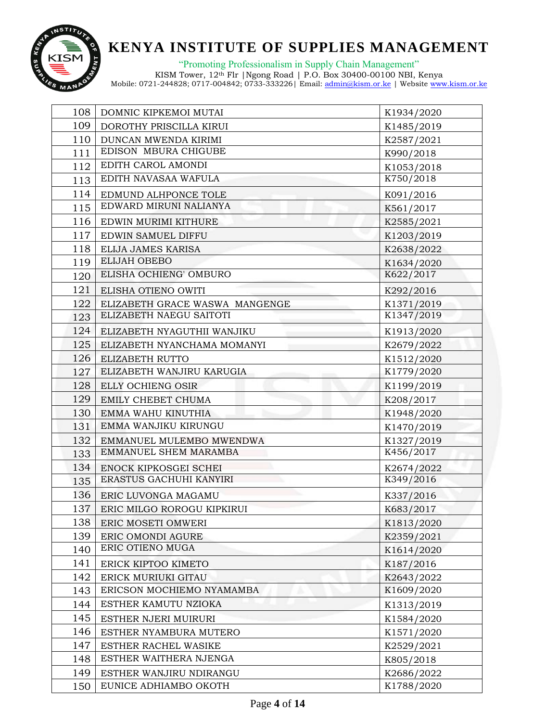

"Promoting Professionalism in Supply Chain Management"

| 108 | DOMNIC KIPKEMOI MUTAI          | K1934/2020 |
|-----|--------------------------------|------------|
| 109 | DOROTHY PRISCILLA KIRUI        | K1485/2019 |
| 110 | DUNCAN MWENDA KIRIMI           | K2587/2021 |
| 111 | EDISON MBURA CHIGUBE           | K990/2018  |
| 112 | EDITH CAROL AMONDI             | K1053/2018 |
| 113 | EDITH NAVASAA WAFULA           | K750/2018  |
| 114 | EDMUND ALHPONCE TOLE           | K091/2016  |
| 115 | EDWARD MIRUNI NALIANYA         | K561/2017  |
| 116 | EDWIN MURIMI KITHURE           | K2585/2021 |
| 117 | EDWIN SAMUEL DIFFU             | K1203/2019 |
| 118 | ELIJA JAMES KARISA             | K2638/2022 |
| 119 | <b>ELIJAH OBEBO</b>            | K1634/2020 |
| 120 | ELISHA OCHIENG' OMBURO         | K622/2017  |
| 121 | ELISHA OTIENO OWITI            | K292/2016  |
| 122 | ELIZABETH GRACE WASWA MANGENGE | K1371/2019 |
| 123 | ELIZABETH NAEGU SAITOTI        | K1347/2019 |
| 124 | ELIZABETH NYAGUTHII WANJIKU    | K1913/2020 |
| 125 | ELIZABETH NYANCHAMA MOMANYI    | K2679/2022 |
| 126 | ELIZABETH RUTTO                | K1512/2020 |
| 127 | ELIZABETH WANJIRU KARUGIA      | K1779/2020 |
| 128 | ELLY OCHIENG OSIR              | K1199/2019 |
| 129 | EMILY CHEBET CHUMA             | K208/2017  |
| 130 | EMMA WAHU KINUTHIA             | K1948/2020 |
| 131 | EMMA WANJIKU KIRUNGU           | K1470/2019 |
| 132 | EMMANUEL MULEMBO MWENDWA       | K1327/2019 |
| 133 | EMMANUEL SHEM MARAMBA          | K456/2017  |
| 134 | ENOCK KIPKOSGEI SCHEI          | K2674/2022 |
| 135 | ERASTUS GACHUHI KANYIRI        | K349/2016  |
| 136 | ERIC LUVONGA MAGAMU            | K337/2016  |
| 137 | ERIC MILGO ROROGU KIPKIRUI     | K683/2017  |
| 138 | ERIC MOSETI OMWERI             | K1813/2020 |
| 139 | ERIC OMONDI AGURE              | K2359/2021 |
| 140 | ERIC OTIENO MUGA               | K1614/2020 |
| 141 | ERICK KIPTOO KIMETO            | K187/2016  |
| 142 | ERICK MURIUKI GITAU            | K2643/2022 |
| 143 | ERICSON MOCHIEMO NYAMAMBA      | K1609/2020 |
| 144 | ESTHER KAMUTU NZIOKA           | K1313/2019 |
| 145 | ESTHER NJERI MUIRURI           | K1584/2020 |
| 146 | ESTHER NYAMBURA MUTERO         | K1571/2020 |
| 147 | ESTHER RACHEL WASIKE           | K2529/2021 |
| 148 | ESTHER WAITHERA NJENGA         | K805/2018  |
| 149 | ESTHER WANJIRU NDIRANGU        | K2686/2022 |
| 150 | EUNICE ADHIAMBO OKOTH          | K1788/2020 |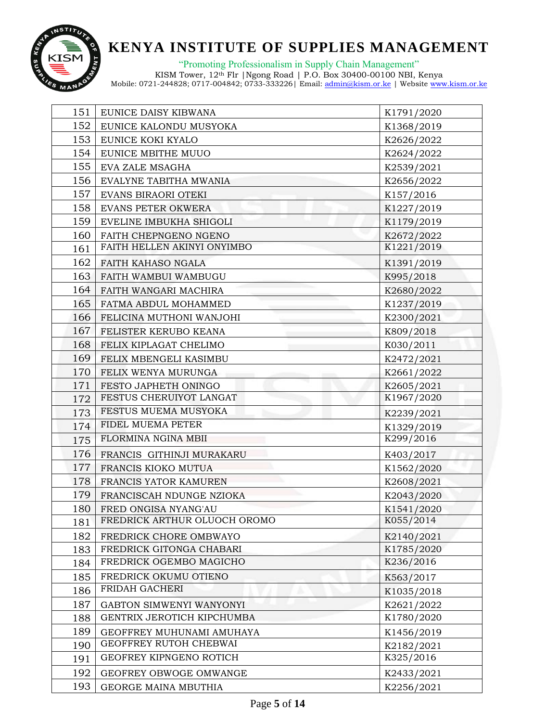

"Promoting Professionalism in Supply Chain Management"

| 151 | EUNICE DAISY KIBWANA         | K1791/2020 |
|-----|------------------------------|------------|
| 152 | EUNICE KALONDU MUSYOKA       | K1368/2019 |
| 153 | EUNICE KOKI KYALO            | K2626/2022 |
| 154 | EUNICE MBITHE MUUO           | K2624/2022 |
| 155 | EVA ZALE MSAGHA              | K2539/2021 |
| 156 | EVALYNE TABITHA MWANIA       | K2656/2022 |
| 157 | EVANS BIRAORI OTEKI          | K157/2016  |
| 158 | <b>EVANS PETER OKWERA</b>    | K1227/2019 |
| 159 | EVELINE IMBUKHA SHIGOLI      | K1179/2019 |
| 160 | FAITH CHEPNGENO NGENO        | K2672/2022 |
| 161 | FAITH HELLEN AKINYI ONYIMBO  | K1221/2019 |
| 162 | FAITH KAHASO NGALA           | K1391/2019 |
| 163 | FAITH WAMBUI WAMBUGU         | K995/2018  |
| 164 | FAITH WANGARI MACHIRA        | K2680/2022 |
| 165 | FATMA ABDUL MOHAMMED         | K1237/2019 |
| 166 | FELICINA MUTHONI WANJOHI     | K2300/2021 |
| 167 | FELISTER KERUBO KEANA        | K809/2018  |
| 168 | FELIX KIPLAGAT CHELIMO       | K030/2011  |
| 169 | FELIX MBENGELI KASIMBU       | K2472/2021 |
| 170 | FELIX WENYA MURUNGA          | K2661/2022 |
| 171 | FESTO JAPHETH ONINGO         | K2605/2021 |
| 172 | FESTUS CHERUIYOT LANGAT      | K1967/2020 |
| 173 | FESTUS MUEMA MUSYOKA         | K2239/2021 |
| 174 | FIDEL MUEMA PETER            | K1329/2019 |
| 175 | FLORMINA NGINA MBII          | K299/2016  |
| 176 | FRANCIS GITHINJI MURAKARU    | K403/2017  |
| 177 | FRANCIS KIOKO MUTUA          | K1562/2020 |
| 178 | FRANCIS YATOR KAMUREN        | K2608/2021 |
| 179 | FRANCISCAH NDUNGE NZIOKA     | K2043/2020 |
| 180 | FRED ONGISA NYANG'AU         | K1541/2020 |
| 181 | FREDRICK ARTHUR OLUOCH OROMO | K055/2014  |
| 182 | FREDRICK CHORE OMBWAYO       | K2140/2021 |
| 183 | FREDRICK GITONGA CHABARI     | K1785/2020 |
| 184 | FREDRICK OGEMBO MAGICHO      | K236/2016  |
| 185 | FREDRICK OKUMU OTIENO        | K563/2017  |
| 186 | FRIDAH GACHERI               | K1035/2018 |
| 187 | GABTON SIMWENYI WANYONYI     | K2621/2022 |
| 188 | GENTRIX JEROTICH KIPCHUMBA   | K1780/2020 |
| 189 | GEOFFREY MUHUNAMI AMUHAYA    | K1456/2019 |
| 190 | GEOFFREY RUTOH CHEBWAI       | K2182/2021 |
| 191 | GEOFREY KIPNGENO ROTICH      | K325/2016  |
| 192 | GEOFREY OBWOGE OMWANGE       | K2433/2021 |
| 193 | GEORGE MAINA MBUTHIA         | K2256/2021 |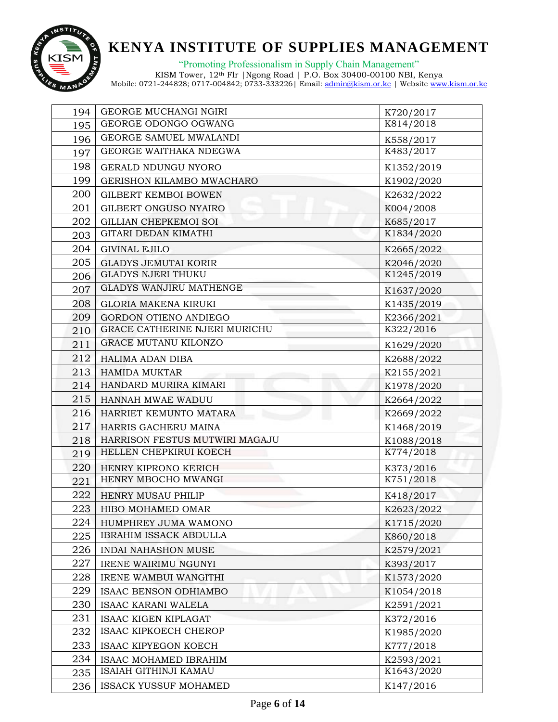

"Promoting Professionalism in Supply Chain Management"

| 194 | GEORGE MUCHANGI NGIRI                | K720/2017  |
|-----|--------------------------------------|------------|
| 195 | GEORGE ODONGO OGWANG                 | K814/2018  |
| 196 | GEORGE SAMUEL MWALANDI               | K558/2017  |
| 197 | GEORGE WAITHAKA NDEGWA               | K483/2017  |
| 198 | GERALD NDUNGU NYORO                  | K1352/2019 |
| 199 | GERISHON KILAMBO MWACHARO            | K1902/2020 |
| 200 | <b>GILBERT KEMBOI BOWEN</b>          | K2632/2022 |
| 201 | GILBERT ONGUSO NYAIRO                | K004/2008  |
| 202 | <b>GILLIAN CHEPKEMOI SOI</b>         | K685/2017  |
| 203 | GITARI DEDAN KIMATHI                 | K1834/2020 |
| 204 | <b>GIVINAL EJILO</b>                 | K2665/2022 |
| 205 | <b>GLADYS JEMUTAI KORIR</b>          | K2046/2020 |
| 206 | <b>GLADYS NJERI THUKU</b>            | K1245/2019 |
| 207 | GLADYS WANJIRU MATHENGE              | K1637/2020 |
| 208 | <b>GLORIA MAKENA KIRUKI</b>          | K1435/2019 |
| 209 | <b>GORDON OTIENO ANDIEGO</b>         | K2366/2021 |
| 210 | <b>GRACE CATHERINE NJERI MURICHU</b> | K322/2016  |
| 211 | GRACE MUTANU KILONZO                 | K1629/2020 |
| 212 | HALIMA ADAN DIBA                     | K2688/2022 |
| 213 | <b>HAMIDA MUKTAR</b>                 | K2155/2021 |
| 214 | HANDARD MURIRA KIMARI                | K1978/2020 |
| 215 | HANNAH MWAE WADUU                    | K2664/2022 |
| 216 | HARRIET KEMUNTO MATARA               | K2669/2022 |
| 217 | HARRIS GACHERU MAINA                 | K1468/2019 |
| 218 | HARRISON FESTUS MUTWIRI MAGAJU       | K1088/2018 |
| 219 | HELLEN CHEPKIRUI KOECH               | K774/2018  |
| 220 | HENRY KIPRONO KERICH                 | K373/2016  |
| 221 | HENRY MBOCHO MWANGI                  | K751/2018  |
| 222 | HENRY MUSAU PHILIP                   | K418/2017  |
| 223 | HIBO MOHAMED OMAR                    | K2623/2022 |
| 224 | HUMPHREY JUMA WAMONO                 | K1715/2020 |
| 225 | <b>IBRAHIM ISSACK ABDULLA</b>        | K860/2018  |
| 226 | <b>INDAI NAHASHON MUSE</b>           | K2579/2021 |
| 227 | IRENE WAIRIMU NGUNYI                 | K393/2017  |
| 228 | IRENE WAMBUI WANGITHI                | K1573/2020 |
| 229 | ISAAC BENSON ODHIAMBO                | K1054/2018 |
| 230 | <b>ISAAC KARANI WALELA</b>           | K2591/2021 |
| 231 | ISAAC KIGEN KIPLAGAT                 | K372/2016  |
| 232 | ISAAC KIPKOECH CHEROP                | K1985/2020 |
| 233 | ISAAC KIPYEGON KOECH                 | K777/2018  |
| 234 | ISAAC MOHAMED IBRAHIM                | K2593/2021 |
| 235 | ISAIAH GITHINJI KAMAU                | K1643/2020 |
| 236 | ISSACK YUSSUF MOHAMED                | K147/2016  |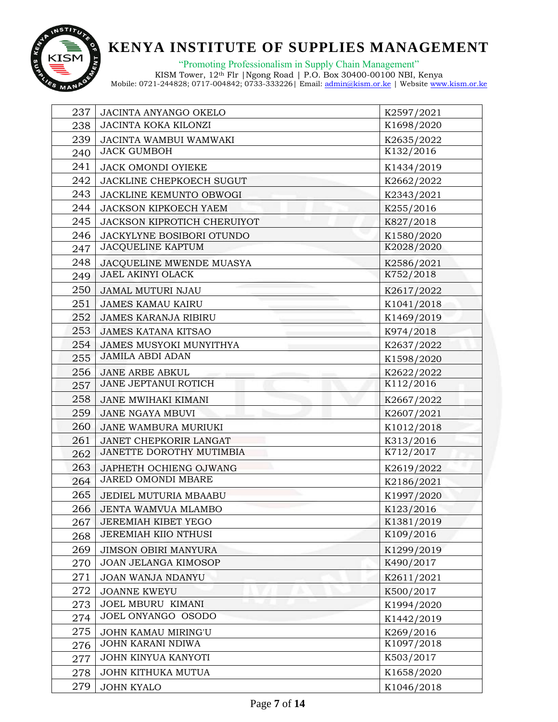

"Promoting Professionalism in Supply Chain Management"

| 237 | JACINTA ANYANGO OKELO       | K2597/2021 |
|-----|-----------------------------|------------|
| 238 | JACINTA KOKA KILONZI        | K1698/2020 |
| 239 | JACINTA WAMBUI WAMWAKI      | K2635/2022 |
| 240 | <b>JACK GUMBOH</b>          | K132/2016  |
| 241 | JACK OMONDI OYIEKE          | K1434/2019 |
| 242 | JACKLINE CHEPKOECH SUGUT    | K2662/2022 |
| 243 | JACKLINE KEMUNTO OBWOGI     | K2343/2021 |
| 244 | JACKSON KIPKOECH YAEM       | K255/2016  |
| 245 | JACKSON KIPROTICH CHERUIYOT | K827/2018  |
| 246 | JACKYLYNE BOSIBORI OTUNDO   | K1580/2020 |
| 247 | <b>JACQUELINE KAPTUM</b>    | K2028/2020 |
| 248 | JACQUELINE MWENDE MUASYA    | K2586/2021 |
| 249 | <b>JAEL AKINYI OLACK</b>    | K752/2018  |
| 250 | JAMAL MUTURI NJAU           | K2617/2022 |
| 251 | <b>JAMES KAMAU KAIRU</b>    | K1041/2018 |
| 252 | <b>JAMES KARANJA RIBIRU</b> | K1469/2019 |
| 253 | <b>JAMES KATANA KITSAO</b>  | K974/2018  |
| 254 | JAMES MUSYOKI MUNYITHYA     | K2637/2022 |
| 255 | <b>JAMILA ABDI ADAN</b>     | K1598/2020 |
| 256 | <b>JANE ARBE ABKUL</b>      | K2622/2022 |
| 257 | <b>JANE JEPTANUI ROTICH</b> | K112/2016  |
| 258 | JANE MWIHAKI KIMANI         | K2667/2022 |
| 259 | <b>JANE NGAYA MBUVI</b>     | K2607/2021 |
| 260 | JANE WAMBURA MURIUKI        | K1012/2018 |
| 261 | JANET CHEPKORIR LANGAT      | K313/2016  |
| 262 | JANETTE DOROTHY MUTIMBIA    | K712/2017  |
| 263 | JAPHETH OCHIENG OJWANG      | K2619/2022 |
| 264 | JARED OMONDI MBARE          | K2186/2021 |
| 265 | JEDIEL MUTURIA MBAABU       | K1997/2020 |
| 266 | JENTA WAMVUA MLAMBO         | K123/2016  |
| 267 | <b>JEREMIAH KIBET YEGO</b>  | K1381/2019 |
| 268 | <b>JEREMIAH KIIO NTHUSI</b> | K109/2016  |
| 269 | <b>JIMSON OBIRI MANYURA</b> | K1299/2019 |
| 270 | <b>JOAN JELANGA KIMOSOP</b> | K490/2017  |
| 271 | JOAN WANJA NDANYU           | K2611/2021 |
| 272 | <b>JOANNE KWEYU</b>         | K500/2017  |
| 273 | JOEL MBURU KIMANI           | K1994/2020 |
| 274 | JOEL ONYANGO OSODO          | K1442/2019 |
| 275 | <b>JOHN KAMAU MIRING'U</b>  | K269/2016  |
| 276 | JOHN KARANI NDIWA           | K1097/2018 |
| 277 | JOHN KINYUA KANYOTI         | K503/2017  |
| 278 | JOHN KITHUKA MUTUA          | K1658/2020 |
| 279 | <b>JOHN KYALO</b>           | K1046/2018 |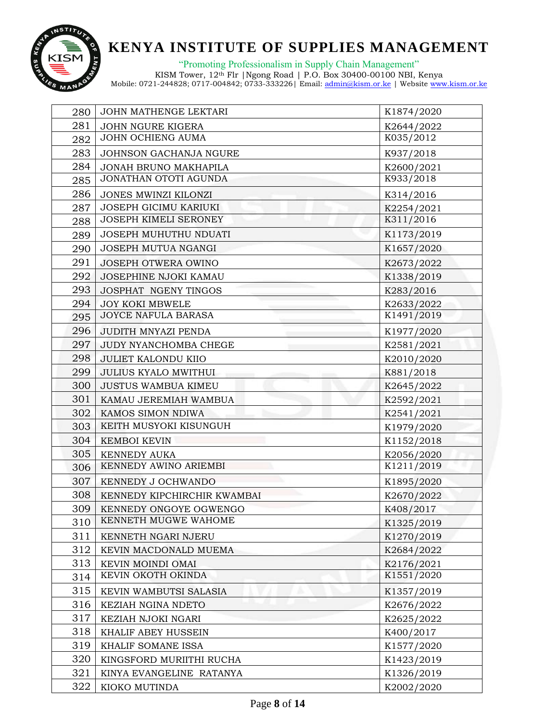

"Promoting Professionalism in Supply Chain Management"

| 280 | JOHN MATHENGE LEKTARI        | K1874/2020 |
|-----|------------------------------|------------|
| 281 | JOHN NGURE KIGERA            | K2644/2022 |
| 282 | JOHN OCHIENG AUMA            | K035/2012  |
| 283 | JOHNSON GACHANJA NGURE       | K937/2018  |
| 284 | JONAH BRUNO MAKHAPILA        | K2600/2021 |
| 285 | JONATHAN OTOTI AGUNDA        | K933/2018  |
| 286 | JONES MWINZI KILONZI         | K314/2016  |
| 287 | JOSEPH GICIMU KARIUKI        | K2254/2021 |
| 288 | <b>JOSEPH KIMELI SERONEY</b> | K311/2016  |
| 289 | JOSEPH MUHUTHU NDUATI        | K1173/2019 |
| 290 | JOSEPH MUTUA NGANGI          | K1657/2020 |
| 291 | JOSEPH OTWERA OWINO          | K2673/2022 |
| 292 | JOSEPHINE NJOKI KAMAU        | K1338/2019 |
| 293 | JOSPHAT NGENY TINGOS         | K283/2016  |
| 294 | <b>JOY KOKI MBWELE</b>       | K2633/2022 |
| 295 | JOYCE NAFULA BARASA          | K1491/2019 |
| 296 | JUDITH MNYAZI PENDA          | K1977/2020 |
| 297 | JUDY NYANCHOMBA CHEGE        | K2581/2021 |
| 298 | <b>JULIET KALONDU KIIO</b>   | K2010/2020 |
| 299 | <b>JULIUS KYALO MWITHUI</b>  | K881/2018  |
| 300 | <b>JUSTUS WAMBUA KIMEU</b>   | K2645/2022 |
| 301 | KAMAU JEREMIAH WAMBUA        | K2592/2021 |
| 302 | KAMOS SIMON NDIWA            | K2541/2021 |
| 303 | KEITH MUSYOKI KISUNGUH       | K1979/2020 |
| 304 | <b>KEMBOI KEVIN</b>          | K1152/2018 |
| 305 | <b>KENNEDY AUKA</b>          | K2056/2020 |
| 306 | KENNEDY AWINO ARIEMBI        | K1211/2019 |
| 307 | KENNEDY J OCHWANDO           | K1895/2020 |
| 308 | KENNEDY KIPCHIRCHIR KWAMBAI  | K2670/2022 |
| 309 | KENNEDY ONGOYE OGWENGO       | K408/2017  |
| 310 | KENNETH MUGWE WAHOME         | K1325/2019 |
| 311 | KENNETH NGARI NJERU          | K1270/2019 |
| 312 | KEVIN MACDONALD MUEMA        | K2684/2022 |
| 313 | KEVIN MOINDI OMAI            | K2176/2021 |
| 314 | KEVIN OKOTH OKINDA           | K1551/2020 |
| 315 | KEVIN WAMBUTSI SALASIA       | K1357/2019 |
| 316 | KEZIAH NGINA NDETO           | K2676/2022 |
| 317 | KEZIAH NJOKI NGARI           | K2625/2022 |
| 318 | KHALIF ABEY HUSSEIN          | K400/2017  |
| 319 | KHALIF SOMANE ISSA           | K1577/2020 |
| 320 | KINGSFORD MURIITHI RUCHA     | K1423/2019 |
| 321 | KINYA EVANGELINE RATANYA     | K1326/2019 |
| 322 | KIOKO MUTINDA                | K2002/2020 |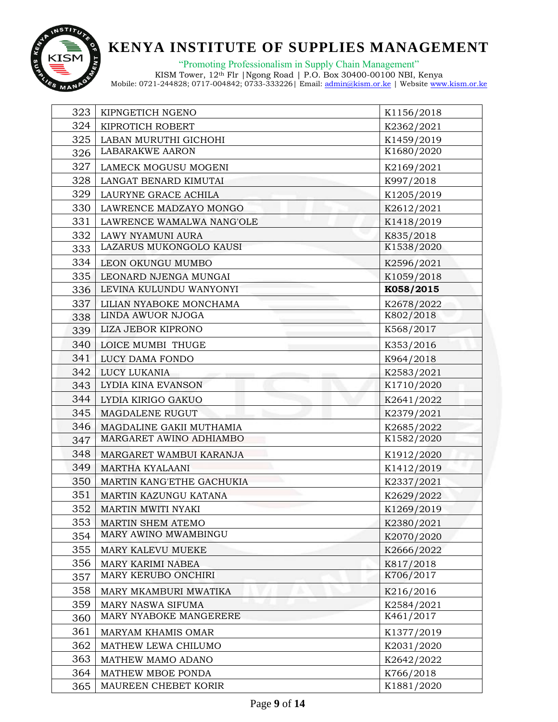

"Promoting Professionalism in Supply Chain Management"

| 323 | KIPNGETICH NGENO          | K1156/2018 |
|-----|---------------------------|------------|
| 324 | KIPROTICH ROBERT          | K2362/2021 |
| 325 | LABAN MURUTHI GICHOHI     | K1459/2019 |
| 326 | <b>LABARAKWE AARON</b>    | K1680/2020 |
| 327 | LAMECK MOGUSU MOGENI      | K2169/2021 |
| 328 | LANGAT BENARD KIMUTAI     | K997/2018  |
| 329 | LAURYNE GRACE ACHILA      | K1205/2019 |
| 330 | LAWRENCE MADZAYO MONGO    | K2612/2021 |
| 331 | LAWRENCE WAMALWA NANG'OLE | K1418/2019 |
| 332 | LAWY NYAMUNI AURA         | K835/2018  |
| 333 | LAZARUS MUKONGOLO KAUSI   | K1538/2020 |
| 334 | LEON OKUNGU MUMBO         | K2596/2021 |
| 335 | LEONARD NJENGA MUNGAI     | K1059/2018 |
| 336 | LEVINA KULUNDU WANYONYI   | K058/2015  |
| 337 | LILIAN NYABOKE MONCHAMA   | K2678/2022 |
| 338 | LINDA AWUOR NJOGA         | K802/2018  |
| 339 | LIZA JEBOR KIPRONO        | K568/2017  |
| 340 | LOICE MUMBI THUGE         | K353/2016  |
| 341 | LUCY DAMA FONDO           | K964/2018  |
| 342 | LUCY LUKANIA              | K2583/2021 |
| 343 | LYDIA KINA EVANSON        | K1710/2020 |
| 344 | LYDIA KIRIGO GAKUO        | K2641/2022 |
| 345 | <b>MAGDALENE RUGUT</b>    | K2379/2021 |
| 346 | MAGDALINE GAKII MUTHAMIA  | K2685/2022 |
| 347 | MARGARET AWINO ADHIAMBO   | K1582/2020 |
| 348 | MARGARET WAMBUI KARANJA   | K1912/2020 |
| 349 | MARTHA KYALAANI           | K1412/2019 |
| 350 | MARTIN KANG'ETHE GACHUKIA | K2337/2021 |
| 351 | MARTIN KAZUNGU KATANA     | K2629/2022 |
| 352 | MARTIN MWITI NYAKI        | K1269/2019 |
| 353 | MARTIN SHEM ATEMO         | K2380/2021 |
| 354 | MARY AWINO MWAMBINGU      | K2070/2020 |
| 355 | MARY KALEVU MUEKE         | K2666/2022 |
| 356 | MARY KARIMI NABEA         | K817/2018  |
| 357 | MARY KERUBO ONCHIRI       | K706/2017  |
| 358 | MARY MKAMBURI MWATIKA     | K216/2016  |
| 359 | MARY NASWA SIFUMA         | K2584/2021 |
| 360 | MARY NYABOKE MANGERERE    | K461/2017  |
| 361 | MARYAM KHAMIS OMAR        | K1377/2019 |
| 362 | MATHEW LEWA CHILUMO       | K2031/2020 |
| 363 | MATHEW MAMO ADANO         | K2642/2022 |
| 364 | MATHEW MBOE PONDA         | K766/2018  |
| 365 | MAUREEN CHEBET KORIR      | K1881/2020 |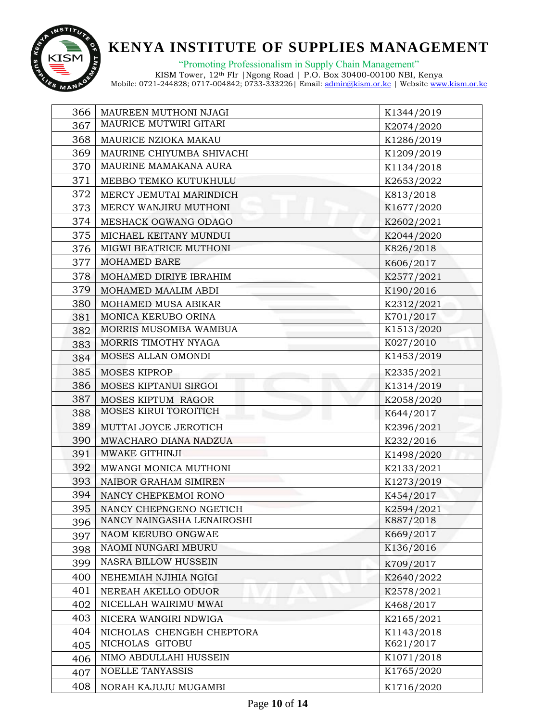

"Promoting Professionalism in Supply Chain Management"

| 366 | MAUREEN MUTHONI NJAGI      | K1344/2019 |
|-----|----------------------------|------------|
| 367 | MAURICE MUTWIRI GITARI     | K2074/2020 |
| 368 | MAURICE NZIOKA MAKAU       | K1286/2019 |
| 369 | MAURINE CHIYUMBA SHIVACHI  | K1209/2019 |
| 370 | MAURINE MAMAKANA AURA      | K1134/2018 |
| 371 | MEBBO TEMKO KUTUKHULU      | K2653/2022 |
| 372 | MERCY JEMUTAI MARINDICH    | K813/2018  |
| 373 | MERCY WANJIRU MUTHONI      | K1677/2020 |
| 374 | MESHACK OGWANG ODAGO       | K2602/2021 |
| 375 | MICHAEL KEITANY MUNDUI     | K2044/2020 |
| 376 | MIGWI BEATRICE MUTHONI     | K826/2018  |
| 377 | <b>MOHAMED BARE</b>        | K606/2017  |
| 378 | MOHAMED DIRIYE IBRAHIM     | K2577/2021 |
| 379 | MOHAMED MAALIM ABDI        | K190/2016  |
| 380 | MOHAMED MUSA ABIKAR        | K2312/2021 |
| 381 | MONICA KERUBO ORINA        | K701/2017  |
| 382 | MORRIS MUSOMBA WAMBUA      | K1513/2020 |
| 383 | MORRIS TIMOTHY NYAGA       | K027/2010  |
| 384 | MOSES ALLAN OMONDI         | K1453/2019 |
| 385 | MOSES KIPROP               | K2335/2021 |
| 386 | MOSES KIPTANUI SIRGOI      | K1314/2019 |
| 387 | MOSES KIPTUM RAGOR         | K2058/2020 |
| 388 | MOSES KIRUI TOROITICH      | K644/2017  |
| 389 | MUTTAI JOYCE JEROTICH      | K2396/2021 |
| 390 | MWACHARO DIANA NADZUA      | K232/2016  |
| 391 | MWAKE GITHINJI             | K1498/2020 |
| 392 | MWANGI MONICA MUTHONI      | K2133/2021 |
| 393 | NAIBOR GRAHAM SIMIREN      | K1273/2019 |
| 394 | NANCY CHEPKEMOI RONO       | K454/2017  |
| 395 | NANCY CHEPNGENO NGETICH    | K2594/2021 |
| 396 | NANCY NAINGASHA LENAIROSHI | K887/2018  |
| 397 | NAOM KERUBO ONGWAE         | K669/2017  |
| 398 | NAOMI NUNGARI MBURU        | K136/2016  |
| 399 | NASRA BILLOW HUSSEIN       | K709/2017  |
| 400 | NEHEMIAH NJIHIA NGIGI      | K2640/2022 |
| 401 | NEREAH AKELLO ODUOR        | K2578/2021 |
| 402 | NICELLAH WAIRIMU MWAI      | K468/2017  |
| 403 | NICERA WANGIRI NDWIGA      | K2165/2021 |
| 404 | NICHOLAS CHENGEH CHEPTORA  | K1143/2018 |
| 405 | NICHOLAS GITOBU            | K621/2017  |
| 406 | NIMO ABDULLAHI HUSSEIN     | K1071/2018 |
| 407 | NOELLE TANYASSIS           | K1765/2020 |
| 408 | NORAH KAJUJU MUGAMBI       | K1716/2020 |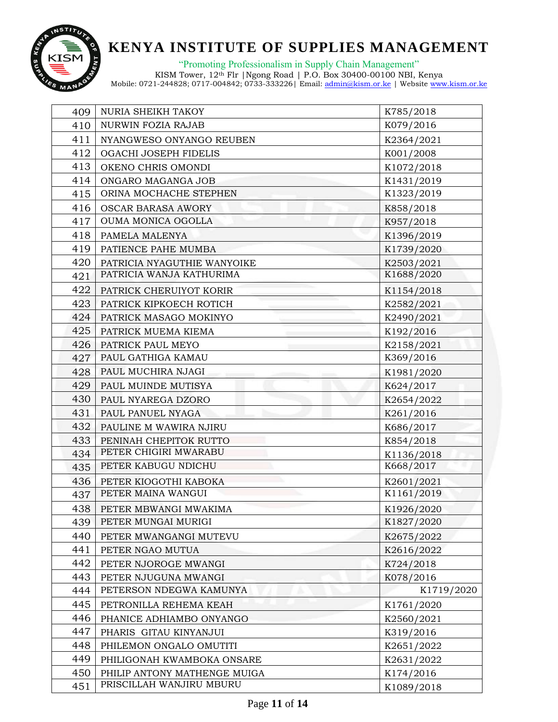

"Promoting Professionalism in Supply Chain Management"

| 409 | NURIA SHEIKH TAKOY           | K785/2018  |
|-----|------------------------------|------------|
| 410 | NURWIN FOZIA RAJAB           | K079/2016  |
| 411 | NYANGWESO ONYANGO REUBEN     | K2364/2021 |
| 412 | OGACHI JOSEPH FIDELIS        | K001/2008  |
| 413 | OKENO CHRIS OMONDI           | K1072/2018 |
| 414 | ONGARO MAGANGA JOB           | K1431/2019 |
| 415 | ORINA MOCHACHE STEPHEN       | K1323/2019 |
| 416 | <b>OSCAR BARASA AWORY</b>    | K858/2018  |
| 417 | OUMA MONICA OGOLLA           | K957/2018  |
| 418 | PAMELA MALENYA               | K1396/2019 |
| 419 | PATIENCE PAHE MUMBA          | K1739/2020 |
| 420 | PATRICIA NYAGUTHIE WANYOIKE  | K2503/2021 |
| 421 | PATRICIA WANJA KATHURIMA     | K1688/2020 |
| 422 | PATRICK CHERUIYOT KORIR      | K1154/2018 |
| 423 | PATRICK KIPKOECH ROTICH      | K2582/2021 |
| 424 | PATRICK MASAGO MOKINYO       | K2490/2021 |
| 425 | PATRICK MUEMA KIEMA          | K192/2016  |
| 426 | PATRICK PAUL MEYO            | K2158/2021 |
| 427 | PAUL GATHIGA KAMAU           | K369/2016  |
| 428 | PAUL MUCHIRA NJAGI           | K1981/2020 |
| 429 | PAUL MUINDE MUTISYA          | K624/2017  |
| 430 | PAUL NYAREGA DZORO           | K2654/2022 |
| 431 | PAUL PANUEL NYAGA            | K261/2016  |
| 432 | PAULINE M WAWIRA NJIRU       | K686/2017  |
| 433 | PENINAH CHEPITOK RUTTO       | K854/2018  |
| 434 | PETER CHIGIRI MWARABU        | K1136/2018 |
| 435 | PETER KABUGU NDICHU          | K668/2017  |
| 436 | PETER KIOGOTHI KABOKA        | K2601/2021 |
| 437 | PETER MAINA WANGUI           | K1161/2019 |
| 438 | PETER MBWANGI MWAKIMA        | K1926/2020 |
| 439 | PETER MUNGAI MURIGI          | K1827/2020 |
| 440 | PETER MWANGANGI MUTEVU       | K2675/2022 |
| 441 | PETER NGAO MUTUA             | K2616/2022 |
| 442 | PETER NJOROGE MWANGI         | K724/2018  |
| 443 | PETER NJUGUNA MWANGI         | K078/2016  |
| 444 | PETERSON NDEGWA KAMUNYA      | K1719/2020 |
| 445 | PETRONILLA REHEMA KEAH       | K1761/2020 |
| 446 | PHANICE ADHIAMBO ONYANGO     | K2560/2021 |
| 447 | PHARIS GITAU KINYANJUI       | K319/2016  |
| 448 | PHILEMON ONGALO OMUTITI      | K2651/2022 |
| 449 | PHILIGONAH KWAMBOKA ONSARE   | K2631/2022 |
| 450 | PHILIP ANTONY MATHENGE MUIGA | K174/2016  |
| 451 | PRISCILLAH WANJIRU MBURU     | K1089/2018 |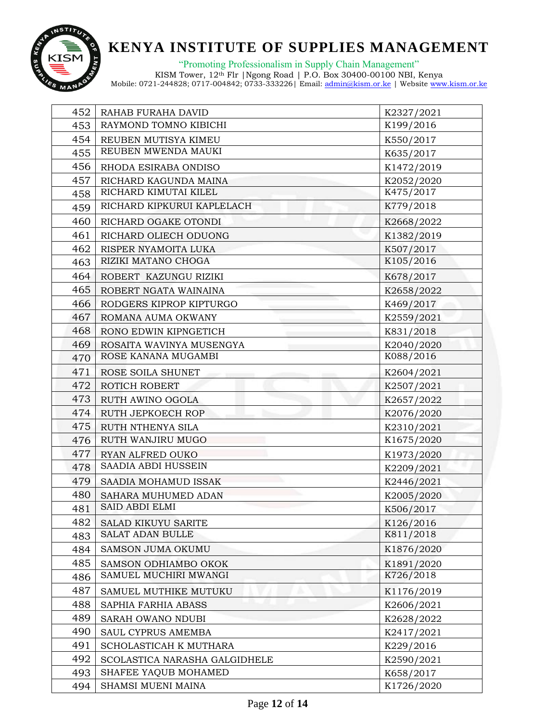

"Promoting Professionalism in Supply Chain Management"

| 452 | RAHAB FURAHA DAVID            | K2327/2021 |
|-----|-------------------------------|------------|
| 453 | RAYMOND TOMNO KIBICHI         | K199/2016  |
| 454 | REUBEN MUTISYA KIMEU          | K550/2017  |
| 455 | REUBEN MWENDA MAUKI           | K635/2017  |
| 456 | RHODA ESIRABA ONDISO          | K1472/2019 |
| 457 | RICHARD KAGUNDA MAINA         | K2052/2020 |
| 458 | RICHARD KIMUTAI KILEL         | K475/2017  |
| 459 | RICHARD KIPKURUI KAPLELACH    | K779/2018  |
| 460 | RICHARD OGAKE OTONDI          | K2668/2022 |
| 461 | RICHARD OLIECH ODUONG         | K1382/2019 |
| 462 | RISPER NYAMOITA LUKA          | K507/2017  |
| 463 | RIZIKI MATANO CHOGA           | K105/2016  |
| 464 | ROBERT KAZUNGU RIZIKI         | K678/2017  |
| 465 | ROBERT NGATA WAINAINA         | K2658/2022 |
| 466 | RODGERS KIPROP KIPTURGO       | K469/2017  |
| 467 | ROMANA AUMA OKWANY            | K2559/2021 |
| 468 | RONO EDWIN KIPNGETICH         | K831/2018  |
| 469 | ROSAITA WAVINYA MUSENGYA      | K2040/2020 |
| 470 | ROSE KANANA MUGAMBI           | K088/2016  |
| 471 | ROSE SOILA SHUNET             | K2604/2021 |
| 472 | ROTICH ROBERT                 | K2507/2021 |
| 473 | RUTH AWINO OGOLA              | K2657/2022 |
| 474 | RUTH JEPKOECH ROP             | K2076/2020 |
| 475 | RUTH NTHENYA SILA             | K2310/2021 |
| 476 | RUTH WANJIRU MUGO             | K1675/2020 |
| 477 | RYAN ALFRED OUKO              | K1973/2020 |
| 478 | SAADIA ABDI HUSSEIN           | K2209/2021 |
| 479 | SAADIA MOHAMUD ISSAK          | K2446/2021 |
| 480 | SAHARA MUHUMED ADAN           | K2005/2020 |
| 481 | <b>SAID ABDI ELMI</b>         | K506/2017  |
| 482 | <b>SALAD KIKUYU SARITE</b>    | K126/2016  |
| 483 | <b>SALAT ADAN BULLE</b>       | K811/2018  |
| 484 | <b>SAMSON JUMA OKUMU</b>      | K1876/2020 |
| 485 | SAMSON ODHIAMBO OKOK          | K1891/2020 |
| 486 | SAMUEL MUCHIRI MWANGI         | K726/2018  |
| 487 | SAMUEL MUTHIKE MUTUKU         | K1176/2019 |
| 488 | SAPHIA FARHIA ABASS           | K2606/2021 |
| 489 | SARAH OWANO NDUBI             | K2628/2022 |
| 490 | SAUL CYPRUS AMEMBA            | K2417/2021 |
| 491 | SCHOLASTICAH K MUTHARA        | K229/2016  |
| 492 | SCOLASTICA NARASHA GALGIDHELE | K2590/2021 |
| 493 | SHAFEE YAQUB MOHAMED          | K658/2017  |
| 494 | SHAMSI MUENI MAINA            | K1726/2020 |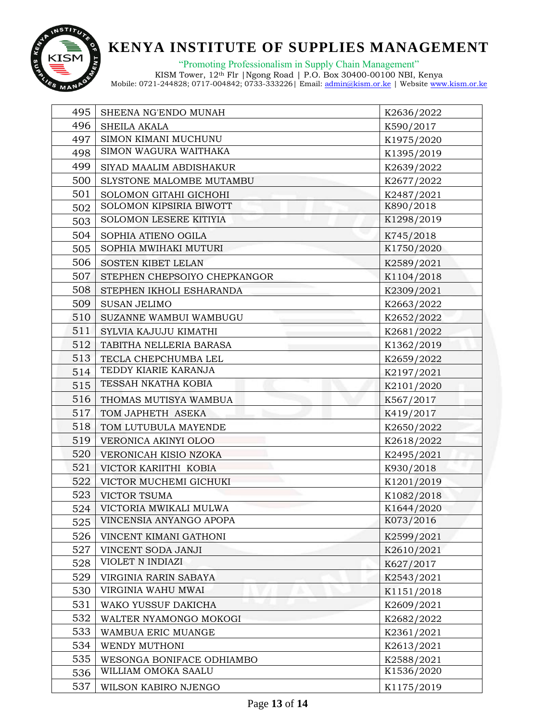

"Promoting Professionalism in Supply Chain Management"

| 495 | SHEENA NG'ENDO MUNAH         | K2636/2022 |
|-----|------------------------------|------------|
| 496 | SHEILA AKALA                 | K590/2017  |
| 497 | SIMON KIMANI MUCHUNU         | K1975/2020 |
| 498 | SIMON WAGURA WAITHAKA        | K1395/2019 |
| 499 | SIYAD MAALIM ABDISHAKUR      | K2639/2022 |
| 500 | SLYSTONE MALOMBE MUTAMBU     | K2677/2022 |
| 501 | SOLOMON GITAHI GICHOHI       | K2487/2021 |
| 502 | SOLOMON KIPSIRIA BIWOTT      | K890/2018  |
| 503 | SOLOMON LESERE KITIYIA       | K1298/2019 |
| 504 | SOPHIA ATIENO OGILA          | K745/2018  |
| 505 | SOPHIA MWIHAKI MUTURI        | K1750/2020 |
| 506 | SOSTEN KIBET LELAN           | K2589/2021 |
| 507 | STEPHEN CHEPSOIYO CHEPKANGOR | K1104/2018 |
| 508 | STEPHEN IKHOLI ESHARANDA     | K2309/2021 |
| 509 | <b>SUSAN JELIMO</b>          | K2663/2022 |
| 510 | SUZANNE WAMBUI WAMBUGU       | K2652/2022 |
| 511 | SYLVIA KAJUJU KIMATHI        | K2681/2022 |
| 512 | TABITHA NELLERIA BARASA      | K1362/2019 |
| 513 | TECLA CHEPCHUMBA LEL         | K2659/2022 |
| 514 | TEDDY KIARIE KARANJA         | K2197/2021 |
| 515 | TESSAH NKATHA KOBIA          | K2101/2020 |
| 516 | THOMAS MUTISYA WAMBUA        | K567/2017  |
| 517 | TOM JAPHETH ASEKA            | K419/2017  |
| 518 | TOM LUTUBULA MAYENDE         | K2650/2022 |
| 519 | VERONICA AKINYI OLOO         | K2618/2022 |
| 520 | VERONICAH KISIO NZOKA        | K2495/2021 |
| 521 | VICTOR KARIITHI KOBIA        | K930/2018  |
| 522 | VICTOR MUCHEMI GICHUKI       | K1201/2019 |
| 523 | <b>VICTOR TSUMA</b>          | K1082/2018 |
| 524 | VICTORIA MWIKALI MULWA       | K1644/2020 |
| 525 | VINCENSIA ANYANGO APOPA      | K073/2016  |
| 526 | VINCENT KIMANI GATHONI       | K2599/2021 |
| 527 | VINCENT SODA JANJI           | K2610/2021 |
| 528 | VIOLET N INDIAZI             | K627/2017  |
| 529 | VIRGINIA RARIN SABAYA        | K2543/2021 |
| 530 | VIRGINIA WAHU MWAI           | K1151/2018 |
| 531 | WAKO YUSSUF DAKICHA          | K2609/2021 |
| 532 | WALTER NYAMONGO MOKOGI       | K2682/2022 |
| 533 | WAMBUA ERIC MUANGE           | K2361/2021 |
| 534 | WENDY MUTHONI                | K2613/2021 |
| 535 | WESONGA BONIFACE ODHIAMBO    | K2588/2021 |
| 536 | WILLIAM OMOKA SAALU          | K1536/2020 |
| 537 | WILSON KABIRO NJENGO         | K1175/2019 |